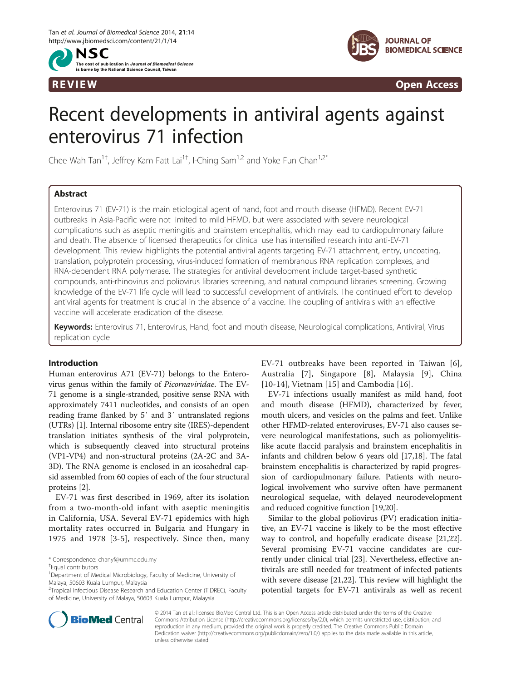



REVIEW CONTROL CONTROL CONTROL CONTROL CONTROL CONTROL CONTROL CONTROL CONTROL CONTROL CONTROL CONTROL CONTROL CONTROL CONTROL CONTROL CONTROL CONTROL CONTROL CONTROL CONTROL CONTROL CONTROL CONTROL CONTROL CONTROL CONTROL

# Recent developments in antiviral agents against enterovirus 71 infection

Chee Wah Tan<sup>1†</sup>, Jeffrey Kam Fatt Lai<sup>1†</sup>, I-Ching Sam<sup>1,2</sup> and Yoke Fun Chan<sup>1,2\*</sup>

# Abstract

Enterovirus 71 (EV-71) is the main etiological agent of hand, foot and mouth disease (HFMD). Recent EV-71 outbreaks in Asia-Pacific were not limited to mild HFMD, but were associated with severe neurological complications such as aseptic meningitis and brainstem encephalitis, which may lead to cardiopulmonary failure and death. The absence of licensed therapeutics for clinical use has intensified research into anti-EV-71 development. This review highlights the potential antiviral agents targeting EV-71 attachment, entry, uncoating, translation, polyprotein processing, virus-induced formation of membranous RNA replication complexes, and RNA-dependent RNA polymerase. The strategies for antiviral development include target-based synthetic compounds, anti-rhinovirus and poliovirus libraries screening, and natural compound libraries screening. Growing knowledge of the EV-71 life cycle will lead to successful development of antivirals. The continued effort to develop antiviral agents for treatment is crucial in the absence of a vaccine. The coupling of antivirals with an effective vaccine will accelerate eradication of the disease.

Keywords: Enterovirus 71, Enterovirus, Hand, foot and mouth disease, Neurological complications, Antiviral, Virus replication cycle

# Introduction

Human enterovirus A71 (EV-71) belongs to the Enterovirus genus within the family of Picornaviridae. The EV-71 genome is a single-stranded, positive sense RNA with approximately 7411 nucleotides, and consists of an open reading frame flanked by 5′ and 3′ untranslated regions (UTRs) [\[1](#page-7-0)]. Internal ribosome entry site (IRES)-dependent translation initiates synthesis of the viral polyprotein, which is subsequently cleaved into structural proteins (VP1-VP4) and non-structural proteins (2A-2C and 3A-3D). The RNA genome is enclosed in an icosahedral capsid assembled from 60 copies of each of the four structural proteins [\[2\]](#page-7-0).

EV-71 was first described in 1969, after its isolation from a two-month-old infant with aseptic meningitis in California, USA. Several EV-71 epidemics with high mortality rates occurred in Bulgaria and Hungary in 1975 and 1978 [[3-5](#page-7-0)], respectively. Since then, many EV-71 outbreaks have been reported in Taiwan [[6](#page-7-0)], Australia [[7\]](#page-7-0), Singapore [[8](#page-7-0)], Malaysia [[9\]](#page-7-0), China [[10](#page-7-0)-[14](#page-7-0)], Vietnam [\[15](#page-7-0)] and Cambodia [[16](#page-7-0)].

EV-71 infections usually manifest as mild hand, foot and mouth disease (HFMD), characterized by fever, mouth ulcers, and vesicles on the palms and feet. Unlike other HFMD-related enteroviruses, EV-71 also causes severe neurological manifestations, such as poliomyelitislike acute flaccid paralysis and brainstem encephalitis in infants and children below 6 years old [\[17,18\]](#page-7-0). The fatal brainstem encephalitis is characterized by rapid progression of cardiopulmonary failure. Patients with neurological involvement who survive often have permanent neurological sequelae, with delayed neurodevelopment and reduced cognitive function [[19,20\]](#page-7-0).

Similar to the global poliovirus (PV) eradication initiative, an EV-71 vaccine is likely to be the most effective way to control, and hopefully eradicate disease [\[21](#page-7-0)[,22](#page-8-0)]. Several promising EV-71 vaccine candidates are currently under clinical trial [[23\]](#page-8-0). Nevertheless, effective antivirals are still needed for treatment of infected patients with severe disease [[21](#page-7-0)[,22](#page-8-0)]. This review will highlight the potential targets for EV-71 antivirals as well as recent



© 2014 Tan et al.; licensee BioMed Central Ltd. This is an Open Access article distributed under the terms of the Creative Commons Attribution License [\(http://creativecommons.org/licenses/by/2.0\)](http://creativecommons.org/licenses/by/2.0), which permits unrestricted use, distribution, and reproduction in any medium, provided the original work is properly credited. The Creative Commons Public Domain Dedication waiver [\(http://creativecommons.org/publicdomain/zero/1.0/](http://creativecommons.org/publicdomain/zero/1.0/)) applies to the data made available in this article, unless otherwise stated.

<sup>\*</sup> Correspondence: [chanyf@ummc.edu.my](mailto:chanyf@ummc.edu.my) †

Equal contributors

<sup>&</sup>lt;sup>1</sup>Department of Medical Microbiology, Faculty of Medicine, University of Malaya, 50603 Kuala Lumpur, Malaysia

<sup>&</sup>lt;sup>2</sup> Tropical Infectious Disease Research and Education Center (TIDREC), Faculty of Medicine, University of Malaya, 50603 Kuala Lumpur, Malaysia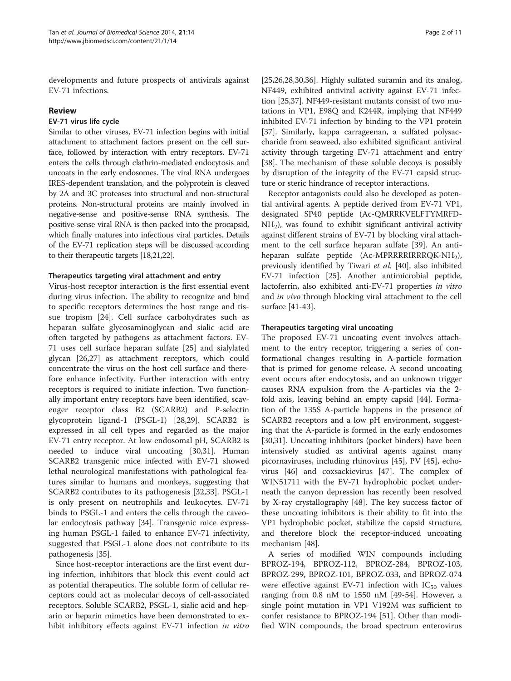developments and future prospects of antivirals against EV-71 infections.

## Review

## EV-71 virus life cycle

Similar to other viruses, EV-71 infection begins with initial attachment to attachment factors present on the cell surface, followed by interaction with entry receptors. EV-71 enters the cells through clathrin-mediated endocytosis and uncoats in the early endosomes. The viral RNA undergoes IRES-dependent translation, and the polyprotein is cleaved by 2A and 3C proteases into structural and non-structural proteins. Non-structural proteins are mainly involved in negative-sense and positive-sense RNA synthesis. The positive-sense viral RNA is then packed into the procapsid, which finally matures into infectious viral particles. Details of the EV-71 replication steps will be discussed according to their therapeutic targets [\[18,21](#page-7-0)[,22\]](#page-8-0).

## Therapeutics targeting viral attachment and entry

Virus-host receptor interaction is the first essential event during virus infection. The ability to recognize and bind to specific receptors determines the host range and tissue tropism [[24\]](#page-8-0). Cell surface carbohydrates such as heparan sulfate glycosaminoglycan and sialic acid are often targeted by pathogens as attachment factors. EV-71 uses cell surface heparan sulfate [\[25\]](#page-8-0) and sialylated glycan [\[26,27\]](#page-8-0) as attachment receptors, which could concentrate the virus on the host cell surface and therefore enhance infectivity. Further interaction with entry receptors is required to initiate infection. Two functionally important entry receptors have been identified, scavenger receptor class B2 (SCARB2) and P-selectin glycoprotein ligand-1 (PSGL-1) [[28,29\]](#page-8-0). SCARB2 is expressed in all cell types and regarded as the major EV-71 entry receptor. At low endosomal pH, SCARB2 is needed to induce viral uncoating [\[30,31](#page-8-0)]. Human SCARB2 transgenic mice infected with EV-71 showed lethal neurological manifestations with pathological features similar to humans and monkeys, suggesting that SCARB2 contributes to its pathogenesis [\[32,33](#page-8-0)]. PSGL-1 is only present on neutrophils and leukocytes. EV-71 binds to PSGL-1 and enters the cells through the caveolar endocytosis pathway [\[34](#page-8-0)]. Transgenic mice expressing human PSGL-1 failed to enhance EV-71 infectivity, suggested that PSGL-1 alone does not contribute to its pathogenesis [\[35\]](#page-8-0).

Since host-receptor interactions are the first event during infection, inhibitors that block this event could act as potential therapeutics. The soluble form of cellular receptors could act as molecular decoys of cell-associated receptors. Soluble SCARB2, PSGL-1, sialic acid and heparin or heparin mimetics have been demonstrated to exhibit inhibitory effects against EV-71 infection in vitro

[[25,26,28,30](#page-8-0),[36](#page-8-0)]. Highly sulfated suramin and its analog, NF449, exhibited antiviral activity against EV-71 infection [\[25,37\]](#page-8-0). NF449-resistant mutants consist of two mutations in VP1, E98Q and K244R, implying that NF449 inhibited EV-71 infection by binding to the VP1 protein [[37\]](#page-8-0). Similarly, kappa carrageenan, a sulfated polysaccharide from seaweed, also exhibited significant antiviral activity through targeting EV-71 attachment and entry [[38\]](#page-8-0). The mechanism of these soluble decoys is possibly by disruption of the integrity of the EV-71 capsid structure or steric hindrance of receptor interactions.

Receptor antagonists could also be developed as potential antiviral agents. A peptide derived from EV-71 VP1, designated SP40 peptide (Ac-QMRRKVELFTYMRFD- $NH<sub>2</sub>$ ), was found to exhibit significant antiviral activity against different strains of EV-71 by blocking viral attachment to the cell surface heparan sulfate [\[39\]](#page-8-0). An antiheparan sulfate peptide (Ac-MPRRRRIRRRQK-NH<sub>2</sub>), previously identified by Tiwari et al. [[40\]](#page-8-0), also inhibited EV-71 infection [[25\]](#page-8-0). Another antimicrobial peptide, lactoferrin, also exhibited anti-EV-71 properties in vitro and *in vivo* through blocking viral attachment to the cell surface [\[41-43](#page-8-0)].

## Therapeutics targeting viral uncoating

The proposed EV-71 uncoating event involves attachment to the entry receptor, triggering a series of conformational changes resulting in A-particle formation that is primed for genome release. A second uncoating event occurs after endocytosis, and an unknown trigger causes RNA expulsion from the A-particles via the 2 fold axis, leaving behind an empty capsid [\[44\]](#page-8-0). Formation of the 135S A-particle happens in the presence of SCARB2 receptors and a low pH environment, suggesting that the A-particle is formed in the early endosomes [[30,31\]](#page-8-0). Uncoating inhibitors (pocket binders) have been intensively studied as antiviral agents against many picornaviruses, including rhinovirus [\[45](#page-8-0)], PV [\[45\]](#page-8-0), echovirus [\[46](#page-8-0)] and coxsackievirus [\[47](#page-8-0)]. The complex of WIN51711 with the EV-71 hydrophobic pocket underneath the canyon depression has recently been resolved by X-ray crystallography [\[48\]](#page-8-0). The key success factor of these uncoating inhibitors is their ability to fit into the VP1 hydrophobic pocket, stabilize the capsid structure, and therefore block the receptor-induced uncoating mechanism [[48](#page-8-0)].

A series of modified WIN compounds including BPROZ-194, BPROZ-112, BPROZ-284, BPROZ-103, BPROZ-299, BPROZ-101, BPROZ-033, and BPROZ-074 were effective against EV-71 infection with  $IC_{50}$  values ranging from 0.8 nM to 1550 nM [[49-54\]](#page-8-0). However, a single point mutation in VP1 V192M was sufficient to confer resistance to BPROZ-194 [[51](#page-8-0)]. Other than modified WIN compounds, the broad spectrum enterovirus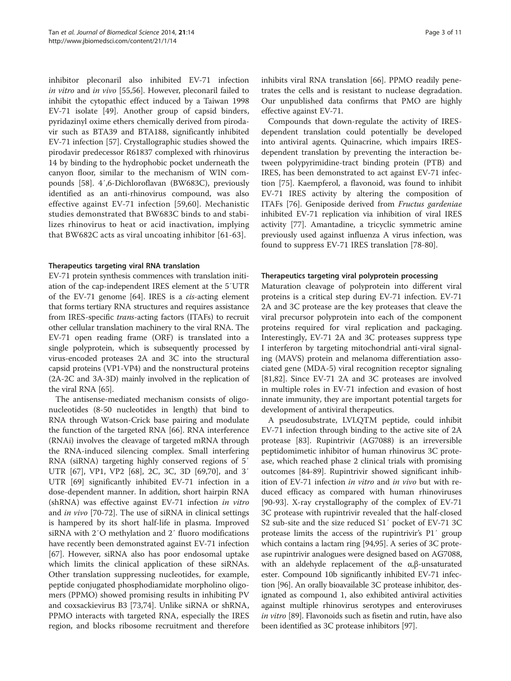inhibitor pleconaril also inhibited EV-71 infection in vitro and in vivo [[55,56\]](#page-8-0). However, pleconaril failed to inhibit the cytopathic effect induced by a Taiwan 1998 EV-71 isolate [[49\]](#page-8-0). Another group of capsid binders, pyridazinyl oxime ethers chemically derived from pirodavir such as BTA39 and BTA188, significantly inhibited EV-71 infection [[57](#page-8-0)]. Crystallographic studies showed the pirodavir predecessor R61837 complexed with rhinovirus 14 by binding to the hydrophobic pocket underneath the canyon floor, similar to the mechanism of WIN compounds [[58](#page-8-0)]. 4′,6-Dichloroflavan (BW683C), previously identified as an anti-rhinovirus compound, was also effective against EV-71 infection [\[59,60](#page-8-0)]. Mechanistic studies demonstrated that BW683C binds to and stabilizes rhinovirus to heat or acid inactivation, implying that BW682C acts as viral uncoating inhibitor [[61](#page-8-0)-[63](#page-8-0)].

### Therapeutics targeting viral RNA translation

EV-71 protein synthesis commences with translation initiation of the cap-independent IRES element at the 5′UTR of the EV-71 genome [\[64](#page-8-0)]. IRES is a cis-acting element that forms tertiary RNA structures and requires assistance from IRES-specific trans-acting factors (ITAFs) to recruit other cellular translation machinery to the viral RNA. The EV-71 open reading frame (ORF) is translated into a single polyprotein, which is subsequently processed by virus-encoded proteases 2A and 3C into the structural capsid proteins (VP1-VP4) and the nonstructural proteins (2A-2C and 3A-3D) mainly involved in the replication of the viral RNA [[65\]](#page-8-0).

The antisense-mediated mechanism consists of oligonucleotides (8-50 nucleotides in length) that bind to RNA through Watson-Crick base pairing and modulate the function of the targeted RNA [[66\]](#page-8-0). RNA interference (RNAi) involves the cleavage of targeted mRNA through the RNA-induced silencing complex. Small interfering RNA (siRNA) targeting highly conserved regions of 5′ UTR [[67](#page-8-0)], VP1, VP2 [[68\]](#page-8-0), 2C, 3C, 3D [\[69,70\]](#page-9-0), and 3′ UTR [\[69](#page-9-0)] significantly inhibited EV-71 infection in a dose-dependent manner. In addition, short hairpin RNA (shRNA) was effective against EV-71 infection in vitro and in vivo [\[70](#page-9-0)-[72\]](#page-9-0). The use of siRNA in clinical settings is hampered by its short half-life in plasma. Improved siRNA with 2′O methylation and 2′ fluoro modifications have recently been demonstrated against EV-71 infection [[67\]](#page-8-0). However, siRNA also has poor endosomal uptake which limits the clinical application of these siRNAs. Other translation suppressing nucleotides, for example, peptide conjugated phosphodiamidate morpholino oligomers (PPMO) showed promising results in inhibiting PV and coxsackievirus B3 [[73,74\]](#page-9-0). Unlike siRNA or shRNA, PPMO interacts with targeted RNA, especially the IRES region, and blocks ribosome recruitment and therefore inhibits viral RNA translation [[66\]](#page-8-0). PPMO readily penetrates the cells and is resistant to nuclease degradation. Our unpublished data confirms that PMO are highly effective against EV-71.

Compounds that down-regulate the activity of IRESdependent translation could potentially be developed into antiviral agents. Quinacrine, which impairs IRESdependent translation by preventing the interaction between polypyrimidine-tract binding protein (PTB) and IRES, has been demonstrated to act against EV-71 infection [\[75\]](#page-9-0). Kaempferol, a flavonoid, was found to inhibit EV-71 IRES activity by altering the composition of ITAFs [[76\]](#page-9-0). Geniposide derived from Fructus gardeniae inhibited EV-71 replication via inhibition of viral IRES activity [\[77\]](#page-9-0). Amantadine, a tricyclic symmetric amine previously used against influenza A virus infection, was found to suppress EV-71 IRES translation [[78-80](#page-9-0)].

#### Therapeutics targeting viral polyprotein processing

Maturation cleavage of polyprotein into different viral proteins is a critical step during EV-71 infection. EV-71 2A and 3C protease are the key proteases that cleave the viral precursor polyprotein into each of the component proteins required for viral replication and packaging. Interestingly, EV-71 2A and 3C proteases suppress type I interferon by targeting mitochondrial anti-viral signaling (MAVS) protein and melanoma differentiation associated gene (MDA-5) viral recognition receptor signaling [[81,82\]](#page-9-0). Since EV-71 2A and 3C proteases are involved in multiple roles in EV-71 infection and evasion of host innate immunity, they are important potential targets for development of antiviral therapeutics.

A pseudosubstrate, LVLQTM peptide, could inhibit EV-71 infection through binding to the active site of 2A protease [[83\]](#page-9-0). Rupintrivir (AG7088) is an irreversible peptidomimetic inhibitor of human rhinovirus 3C protease, which reached phase 2 clinical trials with promising outcomes [[84](#page-9-0)-[89\]](#page-9-0). Rupintrivir showed significant inhibition of EV-71 infection in vitro and in vivo but with reduced efficacy as compared with human rhinoviruses [[90-93](#page-9-0)]. X-ray crystallography of the complex of EV-71 3C protease with rupintrivir revealed that the half-closed S2 sub-site and the size reduced S1′ pocket of EV-71 3C protease limits the access of the rupintrivir's P1′ group which contains a lactam ring [[94,95](#page-9-0)]. A series of 3C protease rupintrivir analogues were designed based on AG7088, with an aldehyde replacement of the  $\alpha$ , $\beta$ -unsaturated ester. Compound 10b significantly inhibited EV-71 infection [\[96](#page-9-0)]. An orally bioavailable 3C protease inhibitor, designated as compound 1, also exhibited antiviral activities against multiple rhinovirus serotypes and enteroviruses in vitro [\[89\]](#page-9-0). Flavonoids such as fisetin and rutin, have also been identified as 3C protease inhibitors [\[97](#page-9-0)].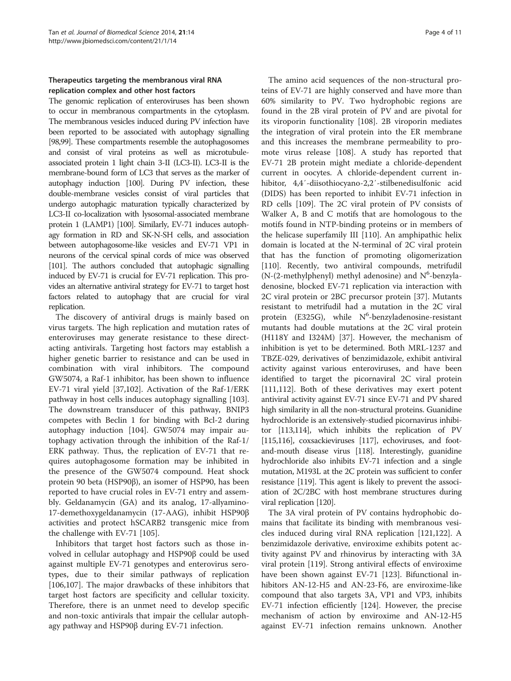# Therapeutics targeting the membranous viral RNA replication complex and other host factors

The genomic replication of enteroviruses has been shown to occur in membranous compartments in the cytoplasm. The membranous vesicles induced during PV infection have been reported to be associated with autophagy signalling [[98,99\]](#page-9-0). These compartments resemble the autophagosomes and consist of viral proteins as well as microtubuleassociated protein 1 light chain 3-II (LC3-II). LC3-II is the membrane-bound form of LC3 that serves as the marker of autophagy induction [[100\]](#page-9-0). During PV infection, these double-membrane vesicles consist of viral particles that undergo autophagic maturation typically characterized by LC3-II co-localization with lysosomal-associated membrane protein 1 (LAMP1) [\[100](#page-9-0)]. Similarly, EV-71 induces autophagy formation in RD and SK-N-SH cells, and association between autophagosome-like vesicles and EV-71 VP1 in neurons of the cervical spinal cords of mice was observed [[101](#page-9-0)]. The authors concluded that autophagic signalling induced by EV-71 is crucial for EV-71 replication. This provides an alternative antiviral strategy for EV-71 to target host factors related to autophagy that are crucial for viral replication.

The discovery of antiviral drugs is mainly based on virus targets. The high replication and mutation rates of enteroviruses may generate resistance to these directacting antivirals. Targeting host factors may establish a higher genetic barrier to resistance and can be used in combination with viral inhibitors. The compound GW5074, a Raf-1 inhibitor, has been shown to influence EV-71 viral yield [[37,](#page-8-0)[102\]](#page-9-0). Activation of the Raf-1/ERK pathway in host cells induces autophagy signalling [\[103](#page-9-0)]. The downstream transducer of this pathway, BNIP3 competes with Beclin 1 for binding with Bcl-2 during autophagy induction [[104\]](#page-9-0). GW5074 may impair autophagy activation through the inhibition of the Raf-1/ ERK pathway. Thus, the replication of EV-71 that requires autophagosome formation may be inhibited in the presence of the GW5074 compound. Heat shock protein 90 beta (HSP90β), an isomer of HSP90, has been reported to have crucial roles in EV-71 entry and assembly. Geldanamycin (GA) and its analog, 17-allyamino-17-demethoxygeldanamycin (17-AAG), inhibit HSP90β activities and protect hSCARB2 transgenic mice from the challenge with EV-71 [[105\]](#page-9-0).

Inhibitors that target host factors such as those involved in cellular autophagy and HSP90β could be used against multiple EV-71 genotypes and enterovirus serotypes, due to their similar pathways of replication [[106,107](#page-9-0)]. The major drawbacks of these inhibitors that target host factors are specificity and cellular toxicity. Therefore, there is an unmet need to develop specific and non-toxic antivirals that impair the cellular autophagy pathway and HSP90β during EV-71 infection.

The amino acid sequences of the non-structural proteins of EV-71 are highly conserved and have more than 60% similarity to PV. Two hydrophobic regions are found in the 2B viral protein of PV and are pivotal for its viroporin functionality [\[108\]](#page-9-0). 2B viroporin mediates the integration of viral protein into the ER membrane and this increases the membrane permeability to promote virus release [[108](#page-9-0)]. A study has reported that EV-71 2B protein might mediate a chloride-dependent current in oocytes. A chloride-dependent current inhibitor, 4,4′-diisothiocyano-2,2′-stilbenedisulfonic acid (DIDS) has been reported to inhibit EV-71 infection in RD cells [[109\]](#page-9-0). The 2C viral protein of PV consists of Walker A, B and C motifs that are homologous to the motifs found in NTP-binding proteins or in members of the helicase superfamily III [[110](#page-9-0)]. An amphipathic helix domain is located at the N-terminal of 2C viral protein that has the function of promoting oligomerization [[110\]](#page-9-0). Recently, two antiviral compounds, metrifudil (N-(2-methylphenyl) methyl adenosine) and  $N^6$ -benzyladenosine, blocked EV-71 replication via interaction with 2C viral protein or 2BC precursor protein [[37](#page-8-0)]. Mutants resistant to metrifudil had a mutation in the 2C viral protein (E325G), while  $N^6$ -benzyladenosine-resistant mutants had double mutations at the 2C viral protein (H118Y and I324M) [[37](#page-8-0)]. However, the mechanism of inhibition is yet to be determined. Both MRL-1237 and TBZE-029, derivatives of benzimidazole, exhibit antiviral activity against various enteroviruses, and have been identified to target the picornaviral 2C viral protein [[111,](#page-9-0)[112](#page-10-0)]. Both of these derivatives may exert potent antiviral activity against EV-71 since EV-71 and PV shared high similarity in all the non-structural proteins. Guanidine hydrochloride is an extensively-studied picornavirus inhibitor [\[113,114\]](#page-10-0), which inhibits the replication of PV [[115,116](#page-10-0)], coxsackieviruses [[117\]](#page-10-0), echoviruses, and footand-mouth disease virus [\[118\]](#page-10-0). Interestingly, guanidine hydrochloride also inhibits EV-71 infection and a single mutation, M193L at the 2C protein was sufficient to confer resistance [[119\]](#page-10-0). This agent is likely to prevent the association of 2C/2BC with host membrane structures during viral replication [[120](#page-10-0)].

The 3A viral protein of PV contains hydrophobic domains that facilitate its binding with membranous vesicles induced during viral RNA replication [\[121,122\]](#page-10-0). A benzimidazole derivative, enviroxime exhibits potent activity against PV and rhinovirus by interacting with 3A viral protein [[119\]](#page-10-0). Strong antiviral effects of enviroxime have been shown against EV-71 [\[123](#page-10-0)]. Bifunctional inhibitors AN-12-H5 and AN-23-F6, are enviroxime-like compound that also targets 3A, VP1 and VP3, inhibits EV-71 infection efficiently [[124\]](#page-10-0). However, the precise mechanism of action by enviroxime and AN-12-H5 against EV-71 infection remains unknown. Another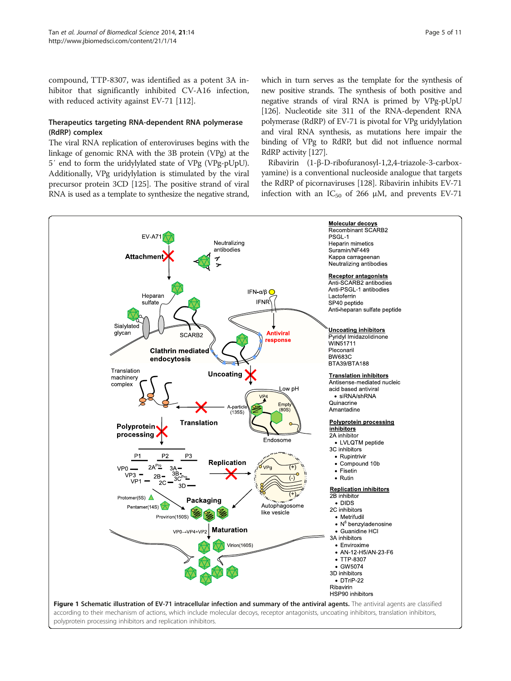<span id="page-4-0"></span>compound, TTP-8307, was identified as a potent 3A inhibitor that significantly inhibited CV-A16 infection, with reduced activity against EV-71 [\[112\]](#page-10-0).

## Therapeutics targeting RNA-dependent RNA polymerase (RdRP) complex

The viral RNA replication of enteroviruses begins with the linkage of genomic RNA with the 3B protein (VPg) at the 5′ end to form the uridylylated state of VPg (VPg-pUpU). Additionally, VPg uridylylation is stimulated by the viral precursor protein 3CD [\[125\]](#page-10-0). The positive strand of viral RNA is used as a template to synthesize the negative strand, which in turn serves as the template for the synthesis of new positive strands. The synthesis of both positive and negative strands of viral RNA is primed by VPg-pUpU [[126\]](#page-10-0). Nucleotide site 311 of the RNA-dependent RNA polymerase (RdRP) of EV-71 is pivotal for VPg uridylylation and viral RNA synthesis, as mutations here impair the binding of VPg to RdRP, but did not influence normal RdRP activity [[127\]](#page-10-0).

Ribavirin (1-β-D-ribofuranosyl-1,2,4-triazole-3-carboxyamine) is a conventional nucleoside analogue that targets the RdRP of picornaviruses [[128](#page-10-0)]. Ribavirin inhibits EV-71 infection with an  $IC_{50}$  of 266  $\mu$ M, and prevents EV-71

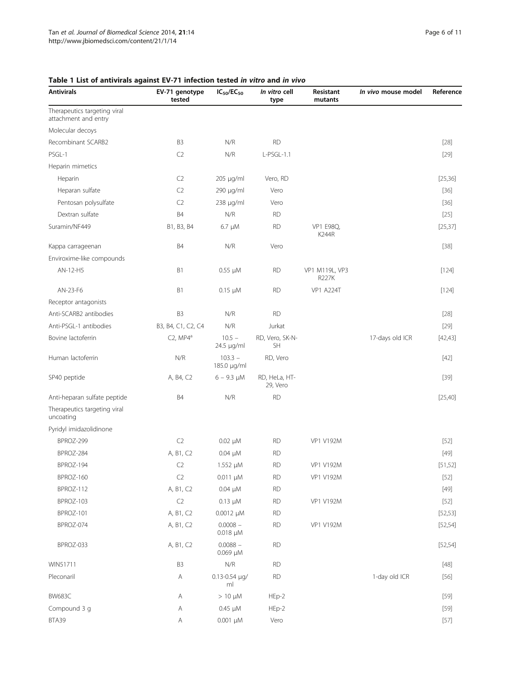| <b>Antivirals</b>                                    | EV-71 genotype<br>tested | $IC_{50}/EC_{50}$             | In vitro cell<br>type        | Resistant<br>mutants           | In vivo mouse model | Reference |
|------------------------------------------------------|--------------------------|-------------------------------|------------------------------|--------------------------------|---------------------|-----------|
| Therapeutics targeting viral<br>attachment and entry |                          |                               |                              |                                |                     |           |
| Molecular decoys                                     |                          |                               |                              |                                |                     |           |
| Recombinant SCARB2                                   | B <sub>3</sub>           | N/R                           | <b>RD</b>                    |                                |                     | $[28]$    |
| PSGL-1                                               | C <sub>2</sub>           | N/R                           | L-PSGL-1.1                   |                                |                     | $[29]$    |
| Heparin mimetics                                     |                          |                               |                              |                                |                     |           |
| Heparin                                              | C <sub>2</sub>           | 205 µg/ml                     | Vero, RD                     |                                |                     | [25, 36]  |
| Heparan sulfate                                      | C <sub>2</sub>           | 290 µg/ml                     | Vero                         |                                |                     | $[36]$    |
| Pentosan polysulfate                                 | C <sub>2</sub>           | 238 µg/ml                     | Vero                         |                                |                     | $[36]$    |
| Dextran sulfate                                      | <b>B4</b>                | N/R                           | <b>RD</b>                    |                                |                     | $[25]$    |
| Suramin/NF449                                        | B1, B3, B4               | $6.7 \mu M$                   | <b>RD</b>                    | VP1 E98Q,<br>K244R             |                     | [25, 37]  |
| Kappa carrageenan                                    | <b>B4</b>                | N/R                           | Vero                         |                                |                     | $[38]$    |
| Enviroxime-like compounds                            |                          |                               |                              |                                |                     |           |
| AN-12-H5                                             | B1                       | $0.55 \mu M$                  | <b>RD</b>                    | VP1 M119L, VP3<br><b>R227K</b> |                     | [124]     |
| AN-23-F6                                             | B1                       | $0.15 \mu M$                  | <b>RD</b>                    | <b>VP1 A224T</b>               |                     | [124]     |
| Receptor antagonists                                 |                          |                               |                              |                                |                     |           |
| Anti-SCARB2 antibodies                               | B <sub>3</sub>           | N/R                           | <b>RD</b>                    |                                |                     | $[28]$    |
| Anti-PSGL-1 antibodies                               | B3, B4, C1, C2, C4       | N/R                           | Jurkat                       |                                |                     | $[29]$    |
| Bovine lactoferrin                                   | $C2$ , MP4 <sup>a</sup>  | $10.5 -$<br>24.5 µg/ml        | RD, Vero, SK-N-<br><b>SH</b> |                                | 17-days old ICR     | [42, 43]  |
| Human lactoferrin                                    | N/R                      | $103.3 -$<br>185.0 µg/ml      | RD, Vero                     |                                |                     | $[42]$    |
| SP40 peptide                                         | A, B4, C2                | $6 - 9.3 \mu M$               | RD, HeLa, HT-<br>29, Vero    |                                |                     | $[39]$    |
| Anti-heparan sulfate peptide                         | <b>B4</b>                | N/R                           | <b>RD</b>                    |                                |                     | [25, 40]  |
| Therapeutics targeting viral<br>uncoating            |                          |                               |                              |                                |                     |           |
| Pyridyl imidazolidinone                              |                          |                               |                              |                                |                     |           |
| BPROZ-299                                            | C <sub>2</sub>           | $0.02 \mu M$                  | <b>RD</b>                    | <b>VP1 V192M</b>               |                     | $[52]$    |
| BPROZ-284                                            | A, B1, C2                | $0.04 \mu M$                  | <b>RD</b>                    |                                |                     | $[49]$    |
| BPROZ-194                                            | C <sub>2</sub>           | 1.552 µM                      | <b>RD</b>                    | VP1 V192M                      |                     | [51, 52]  |
| BPROZ-160                                            | C2                       | $0.011 \mu M$                 | <b>RD</b>                    | VP1 V192M                      |                     | $[52]$    |
| BPROZ-112                                            | A, B1, C2                | $0.04 \mu M$                  | <b>RD</b>                    |                                |                     | $[49]$    |
| BPROZ-103                                            | C <sub>2</sub>           | $0.13 \mu M$                  | <b>RD</b>                    | VP1 V192M                      |                     | $[52]$    |
| BPROZ-101                                            | A, B1, C2                | $0.0012 \mu M$                | <b>RD</b>                    |                                |                     | [52, 53]  |
| BPROZ-074                                            | A, B1, C2                | $0.0008 -$<br>$0.018$ $\mu$ M | <b>RD</b>                    | VP1 V192M                      |                     | [52, 54]  |
| BPROZ-033                                            | A, B1, C2                | $0.0088 -$<br>$0.069 \mu M$   | <b>RD</b>                    |                                |                     | [52, 54]  |
| WIN51711                                             | B <sub>3</sub>           | N/R                           | <b>RD</b>                    |                                |                     | $[48]$    |
| Pleconaril                                           | $\mathsf A$              | $0.13 - 0.54$ µg/<br>ml       | <b>RD</b>                    |                                | 1-day old ICR       | $[56]$    |
| <b>BW683C</b>                                        | Α                        | $> 10 \mu M$                  | HEp-2                        |                                |                     | $[59]$    |
| Compound 3 g                                         | Α                        | $0.45 \mu M$                  | HEp-2                        |                                |                     | $[59]$    |
| BTA39                                                | Α                        | $0.001 \mu M$                 | Vero                         |                                |                     | [57]      |

# <span id="page-5-0"></span>Table 1 List of antivirals against EV-71 infection tested in vitro and in vivo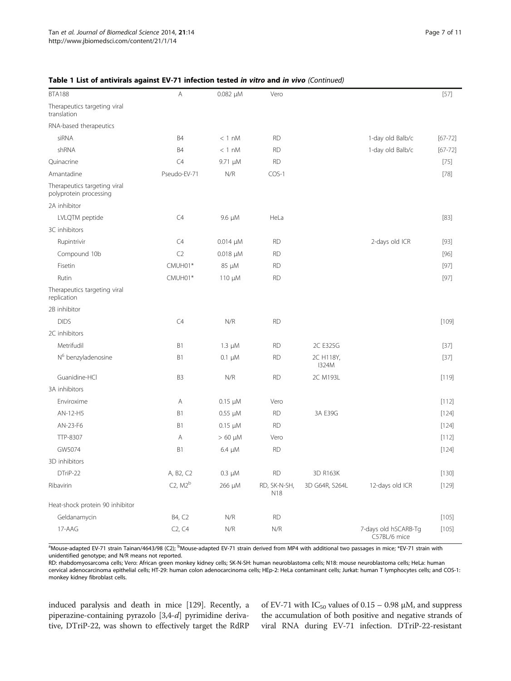| <b>BTA188</b>                                          | A              | $0.082 \mu M$   | Vero                |                           |                                      | $[57]$      |
|--------------------------------------------------------|----------------|-----------------|---------------------|---------------------------|--------------------------------------|-------------|
| Therapeutics targeting viral<br>translation            |                |                 |                     |                           |                                      |             |
| RNA-based therapeutics                                 |                |                 |                     |                           |                                      |             |
| siRNA                                                  | <b>B4</b>      | $< 1$ nM        | <b>RD</b>           |                           | 1-day old Balb/c                     | $[67 - 72]$ |
| shRNA                                                  | B4             | $< 1$ nM        | <b>RD</b>           |                           | 1-day old Balb/c                     | $[67 - 72]$ |
| Quinacrine                                             | C4             | 9.71 µM         | <b>RD</b>           |                           |                                      | $[75]$      |
| Amantadine                                             | Pseudo-EV-71   | N/R             | $COS-1$             |                           |                                      | $[78]$      |
| Therapeutics targeting viral<br>polyprotein processing |                |                 |                     |                           |                                      |             |
| 2A inhibitor                                           |                |                 |                     |                           |                                      |             |
| LVLQTM peptide                                         | C4             | 9.6 µM          | HeLa                |                           |                                      | $[83]$      |
| 3C inhibitors                                          |                |                 |                     |                           |                                      |             |
| Rupintrivir                                            | C4             | $0.014 \mu M$   | <b>RD</b>           |                           | 2-days old ICR                       | $[93]$      |
| Compound 10b                                           | C <sub>2</sub> | $0.018$ $\mu$ M | <b>RD</b>           |                           |                                      | $[96]$      |
| Fisetin                                                | CMUH01*        | 85 µM           | <b>RD</b>           |                           |                                      | $[97]$      |
| Rutin                                                  | CMUH01*        | 110 μM          | <b>RD</b>           |                           |                                      | $[97]$      |
| Therapeutics targeting viral<br>replication            |                |                 |                     |                           |                                      |             |
| 2B inhibitor                                           |                |                 |                     |                           |                                      |             |
| <b>DIDS</b>                                            | C4             | N/R             | <b>RD</b>           |                           |                                      | $[109]$     |
| 2C inhibitors                                          |                |                 |                     |                           |                                      |             |
| Metrifudil                                             | B1             | $1.3 \mu M$     | <b>RD</b>           | 2C E325G                  |                                      | $[37]$      |
| N <sup>6</sup> benzyladenosine                         | B1             | $0.1 \mu M$     | <b>RD</b>           | 2C H118Y,<br><b>I324M</b> |                                      | $[37]$      |
| Guanidine-HCl                                          | B <sub>3</sub> | N/R             | <b>RD</b>           | 2C M193L                  |                                      | [119]       |
| 3A inhibitors                                          |                |                 |                     |                           |                                      |             |
| Enviroxime                                             | Α              | $0.15 \mu M$    | Vero                |                           |                                      | [112]       |
| AN-12-H5                                               | B1             | $0.55 \mu M$    | <b>RD</b>           | 3A E39G                   |                                      | $[124]$     |
| AN-23-F6                                               | B1             | $0.15 \mu M$    | <b>RD</b>           |                           |                                      | $[124]$     |
| TTP-8307                                               | Α              | $> 60 \mu M$    | Vero                |                           |                                      | [112]       |
| GW5074                                                 | B1             | $6.4 \mu M$     | <b>RD</b>           |                           |                                      | [124]       |
| 3D inhibitors                                          |                |                 |                     |                           |                                      |             |
| DTriP-22                                               | A, B2, C2      | $0.3 \mu M$     | RD                  | 3D R163K                  |                                      | [130]       |
| Ribavirin                                              | $C2$ , $M2b$   | 266 µM          | RD, SK-N-SH,<br>N18 | 3D G64R, S264L            | 12-days old ICR                      | [129]       |
| Heat-shock protein 90 inhibitor                        |                |                 |                     |                           |                                      |             |
| Geldanamycin                                           | B4, C2         | N/R             | RD                  |                           |                                      | [105]       |
| 17-AAG                                                 | C2, C4         | N/R             | N/R                 |                           | 7-days old hSCARB-Tg<br>C57BL/6 mice | [105]       |

# Table 1 List of antivirals against EV-71 infection tested in vitro and in vivo (Continued)

<sup>a</sup>Mouse-adapted EV-71 strain Tainan/4643/98 (C2); <sup>b</sup>Mouse-adapted EV-71 strain derived from MP4 with additional two passages in mice; \*EV-71 strain with unidentified genotype; and N/R means not reported.

RD: rhabdomyosarcoma cells; Vero: African green monkey kidney cells; SK-N-SH: human neuroblastoma cells; N18: mouse neuroblastoma cells; HeLa: human cervical adenocarcinoma epithelial cells; HT-29: human colon adenocarcinoma cells; HEp-2: HeLa contaminant cells; Jurkat: human T lymphocytes cells; and COS-1: monkey kidney fibroblast cells.

induced paralysis and death in mice [\[129\]](#page-10-0). Recently, a piperazine-containing pyrazolo [3,4-d] pyrimidine derivative, DTriP-22, was shown to effectively target the RdRP of EV-71 with  $IC_{50}$  values of 0.15 – 0.98  $\mu$ M, and suppress the accumulation of both positive and negative strands of viral RNA during EV-71 infection. DTriP-22-resistant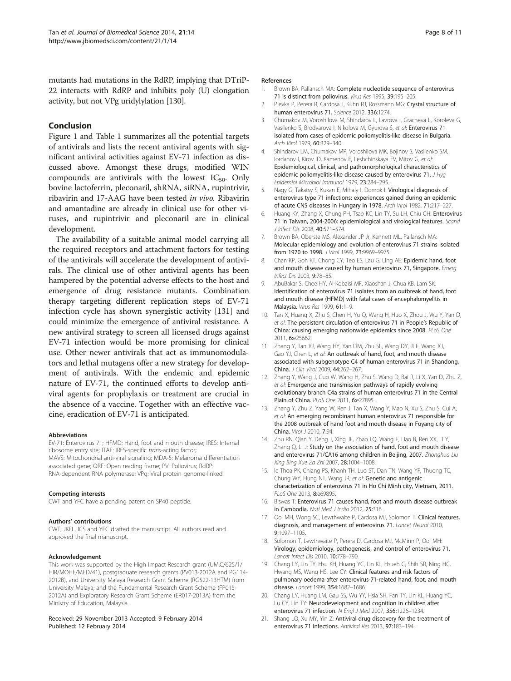<span id="page-7-0"></span>mutants had mutations in the RdRP, implying that DTriP-22 interacts with RdRP and inhibits poly (U) elongation activity, but not VPg uridylylation [\[130](#page-10-0)].

# Conclusion

Figure [1](#page-4-0) and Table [1](#page-5-0) summarizes all the potential targets of antivirals and lists the recent antiviral agents with significant antiviral activities against EV-71 infection as discussed above. Amongst these drugs, modified WIN compounds are antivirals with the lowest  $IC_{50}$ . Only bovine lactoferrin, pleconaril, shRNA, siRNA, rupintrivir, ribavirin and 17-AAG have been tested in vivo. Ribavirin and amantadine are already in clinical use for other viruses, and rupintrivir and pleconaril are in clinical development.

The availability of a suitable animal model carrying all the required receptors and attachment factors for testing of the antivirals will accelerate the development of antivirals. The clinical use of other antiviral agents has been hampered by the potential adverse effects to the host and emergence of drug resistance mutants. Combination therapy targeting different replication steps of EV-71 infection cycle has shown synergistic activity [\[131](#page-10-0)] and could minimize the emergence of antiviral resistance. A new antiviral strategy to screen all licensed drugs against EV-71 infection would be more promising for clinical use. Other newer antivirals that act as immunomodulators and lethal mutagens offer a new strategy for development of antivirals. With the endemic and epidemic nature of EV-71, the continued efforts to develop antiviral agents for prophylaxis or treatment are crucial in the absence of a vaccine. Together with an effective vaccine, eradication of EV-71 is anticipated.

#### Abbreviations

EV-71: Enterovirus 71; HFMD: Hand, foot and mouth disease; IRES: Internal ribosome entry site; ITAF: IRES-specific trans-acting factor; MAVS: Mitochondrial anti-viral signaling; MDA-5: Melanoma differentiation associated gene; ORF: Open reading frame; PV: Poliovirus; RdRP: RNA-dependent RNA polymerase; VPg: Viral protein genome-linked.

#### Competing interests

CWT and YFC have a pending patent on SP40 peptide.

#### Authors' contributions

CWT, JKFL, ICS and YFC drafted the manuscript. All authors read and approved the final manuscript.

#### Acknowledgement

This work was supported by the High Impact Research grant (UM.C/625/1/ HIR/MOHE/MED/41), postgraduate research grants (PV013-2012A and PG114- 2012B), and University Malaya Research Grant Scheme (RG522-13HTM) from University Malaya; and the Fundamental Research Grant Scheme (FP015- 2012A) and Exploratory Research Grant Scheme (ER017-2013A) from the Ministry of Education, Malaysia.

#### Received: 29 November 2013 Accepted: 9 February 2014 Published: 12 February 2014

#### References

- 1. Brown BA, Pallansch MA: Complete nucleotide sequence of enterovirus 71 is distinct from poliovirus. Virus Res 1995, 39:195–205.
- Plevka P, Perera R, Cardosa J, Kuhn RJ, Rossmann MG: Crystal structure of human enterovirus 71. Science 2012, 336:1274.
- 3. Chumakov M, Voroshilova M, Shindarov L, Lavrova I, Gracheva L, Koroleva G, Vasilenko S, Brodvarova I, Nikolova M, Gyurova S, et al: Enterovirus 71 isolated from cases of epidemic poliomyelitis-like disease in Bulgaria. Arch Virol 1979, 60:329–340.
- 4. Shindarov LM, Chumakov MP, Voroshilova MK, Bojinov S, Vasilenko SM, Iordanov I, Kirov ID, Kamenov E, Leshchinskaya EV, Mitov G, et al: Epidemiological, clinical, and pathomorphological characteristics of epidemic poliomyelitis-like disease caused by enterovirus 71. J Hyg Epidemiol Microbiol Immunol 1979, 23:284–295.
- 5. Nagy G, Takatsy S, Kukan E, Mihaly I, Domok I: Virological diagnosis of enterovirus type 71 infections: experiences gained during an epidemic of acute CNS diseases in Hungary in 1978. Arch Virol 1982, 71:217–227.
- 6. Huang KY, Zhang X, Chung PH, Tsao KC, Lin TY, Su LH, Chiu CH: Enterovirus 71 in Taiwan, 2004-2006: epidemiological and virological features. Scand J Infect Dis 2008, 40:571–574.
- 7. Brown BA, Oberste MS, Alexander JP Jr, Kennett ML, Pallansch MA: Molecular epidemiology and evolution of enterovirus 71 strains isolated from 1970 to 1998. J Virol 1999, 73:9969–9975.
- 8. Chan KP, Goh KT, Chong CY, Teo ES, Lau G, Ling AE: Epidemic hand, foot and mouth disease caused by human enterovirus 71, Singapore. Emerg Infect Dis 2003, 9:78–85.
- AbuBakar S, Chee HY, Al-Kobaisi MF, Xiaoshan J, Chua KB, Lam SK: Identification of enterovirus 71 isolates from an outbreak of hand, foot and mouth disease (HFMD) with fatal cases of encephalomyelitis in Malaysia. Virus Res 1999, 61:1–9.
- 10. Tan X, Huang X, Zhu S, Chen H, Yu Q, Wang H, Huo X, Zhou J, Wu Y, Yan D, et al: The persistent circulation of enterovirus 71 in People's Republic of China: causing emerging nationwide epidemics since 2008. PLoS One 2011, 6:e25662.
- 11. Zhang Y, Tan XJ, Wang HY, Yan DM, Zhu SL, Wang DY, Ji F, Wang XJ, Gao YJ, Chen L, et al: An outbreak of hand, foot, and mouth disease associated with subgenotype C4 of human enterovirus 71 in Shandong, China. J Clin Virol 2009, 44:262–267.
- 12. Zhang Y, Wang J, Guo W, Wang H, Zhu S, Wang D, Bai R, Li X, Yan D, Zhu Z, et al: Emergence and transmission pathways of rapidly evolving evolutionary branch C4a strains of human enterovirus 71 in the Central Plain of China. PLoS One 2011, 6:e27895.
- 13. Zhang Y, Zhu Z, Yang W, Ren J, Tan X, Wang Y, Mao N, Xu S, Zhu S, Cui A, et al: An emerging recombinant human enterovirus 71 responsible for the 2008 outbreak of hand foot and mouth disease in Fuyang city of China. Virol J 2010, 7:94.
- 14. Zhu RN, Qian Y, Deng J, Xing JF, Zhao LQ, Wang F, Liao B, Ren XX, Li Y, Zhang Q, Li J: Study on the association of hand, foot and mouth disease and enterovirus 71/CA16 among children in Beijing, 2007. Zhonghua Liu Xing Bing Xue Za Zhi 2007, 28:1004-1008.
- 15. le Thoa PK, Chiang PS, Khanh TH, Luo ST, Dan TN, Wang YF, Thuong TC, Chung WY, Hung NT, Wang JR, et al: Genetic and antigenic characterization of enterovirus 71 in Ho Chi Minh city, Vietnam, 2011. PLoS One 2013, 8:e69895.
- 16. Biswas T: Enterovirus 71 causes hand, foot and mouth disease outbreak in Cambodia. Natl Med J India 2012, 25:316.
- 17. Ooi MH, Wong SC, Lewthwaite P, Cardosa MJ, Solomon T: Clinical features, diagnosis, and management of enterovirus 71. Lancet Neurol 2010, 9:1097–1105.
- 18. Solomon T, Lewthwaite P, Perera D, Cardosa MJ, McMinn P, Ooi MH: Virology, epidemiology, pathogenesis, and control of enterovirus 71. Lancet Infect Dis 2010, 10:778–790.
- 19. Chang LY, Lin TY, Hsu KH, Huang YC, Lin KL, Hsueh C, Shih SR, Ning HC, Hwang MS, Wang HS, Lee CY: Clinical features and risk factors of pulmonary oedema after enterovirus-71-related hand, foot, and mouth disease. Lancet 1999, 354:1682–1686.
- 20. Chang LY, Huang LM, Gau SS, Wu YY, Hsia SH, Fan TY, Lin KL, Huang YC, Lu CY, Lin TY: Neurodevelopment and cognition in children after enterovirus 71 infection. N Engl J Med 2007, 356:1226–1234.
- 21. Shang LQ, Xu MY, Yin Z: Antiviral drug discovery for the treatment of enterovirus 71 infections. Antiviral Res 2013, 97:183–194.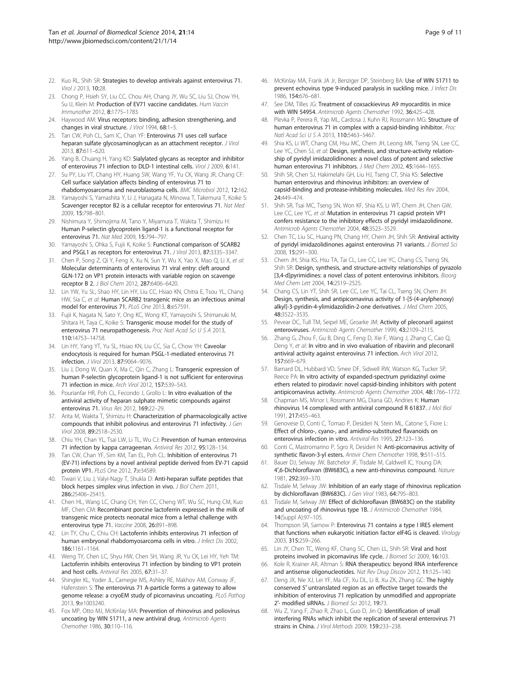- <span id="page-8-0"></span>22. Kuo RL, Shih SR: Strategies to develop antivirals against enterovirus 71. Virol J 2013, 10:28.
- 23. Chong P, Hsieh SY, Liu CC, Chou AH, Chang JY, Wu SC, Liu SJ, Chow YH, Su IJ, Klein M: Production of EV71 vaccine candidates. Hum Vaccin Immunother 2012, 8:1775–1783.
- 24. Haywood AM: Virus receptors: binding, adhesion strengthening, and changes in viral structure. J Virol 1994, 68:1-5.
- 25. Tan CW, Poh CL, Sam IC, Chan YF: Enterovirus 71 uses cell surface heparan sulfate glycosaminoglycan as an attachment receptor. J Virol 2013, 87:611–620.
- 26. Yang B, Chuang H, Yang KD: Sialylated glycans as receptor and inhibitor of enterovirus 71 infection to DLD-1 intestinal cells. Virol J 2009, 6:141.
- 27. Su PY, Liu YT, Chang HY, Huang SW, Wang YF, Yu CK, Wang JR, Chang CF: Cell surface sialylation affects binding of enterovirus 71 to rhabdomyosarcoma and neuroblastoma cells. BMC Microbiol 2012, 12:162.
- 28. Yamayoshi S, Yamashita Y, Li J, Hanagata N, Minowa T, Takemura T, Koike S: Scavenger receptor B2 is a cellular receptor for enterovirus 71. Nat Med 2009, 15:798–801.
- 29. Nishimura Y, Shimojima M, Tano Y, Miyamura T, Wakita T, Shimizu H: Human P-selectin glycoprotein ligand-1 is a functional receptor for enterovirus 71. Nat Med 2009, 15:794–797.
- 30. Yamayoshi S, Ohka S, Fujii K, Koike S: Functional comparison of SCARB2 and PSGL1 as receptors for enterovirus 71. J Virol 2013, 87:3335–3347.
- 31. Chen P, Song Z, Qi Y, Feng X, Xu N, Sun Y, Wu X, Yao X, Mao Q, Li X, et al: Molecular determinants of enterovirus 71 viral entry: cleft around GLN-172 on VP1 protein interacts with variable region on scavenge receptor B 2. J Biol Chem 2012, 287:6406–6420.
- 32. Lin YW, Yu SL, Shao HY, Lin HY, Liu CC, Hsiao KN, Chitra E, Tsou YL, Chang HW, Sia C, et al: Human SCARB2 transgenic mice as an infectious animal model for enterovirus 71. PLoS One 2013, 8:e57591.
- 33. Fujii K, Nagata N, Sato Y, Ong KC, Wong KT, Yamayoshi S, Shimanuki M, Shitara H, Taya C, Koike S: Transgenic mouse model for the study of enterovirus 71 neuropathogenesis. Proc Natl Acad Sci U S A 2013, 110:14753–14758.
- 34. Lin HY, Yang YT, Yu SL, Hsiao KN, Liu CC, Sia C, Chow YH: Caveolar endocytosis is required for human PSGL-1-mediated enterovirus 71 infection. J Virol 2013, 87:9064–9076.
- 35. Liu J, Dong W, Quan X, Ma C, Qin C, Zhang L: Transgenic expression of human P-selectin glycoprotein ligand-1 is not sufficient for enterovirus 71 infection in mice. Arch Virol 2012, 157:539–543.
- 36. Pourianfar HR, Poh CL, Fecondo J, Grollo L: In vitro evaluation of the antiviral activity of heparan sulphate mimetic compounds against enterovirus 71. Virus Res 2012, 169:22–29.
- 37. Arita M, Wakita T, Shimizu H: Characterization of pharmacologically active compounds that inhibit poliovirus and enterovirus 71 infectivity. J Gen Virol 2008, 89:2518–2530.
- 38. Chiu YH, Chan YL, Tsai LW, Li TL, Wu CJ: Prevention of human enterovirus 71 infection by kappa carrageenan. Antiviral Res 2012, 95:128–134.
- 39. Tan CW, Chan YF, Sim KM, Tan EL, Poh CL: Inhibition of enterovirus 71 (EV-71) infections by a novel antiviral peptide derived from EV-71 capsid protein VP1. PLoS One 2012, 7:e34589.
- 40. Tiwari V, Liu J, Valyi-Nagy T, Shukla D: Anti-heparan sulfate peptides that block herpes simplex virus infection in vivo. J Biol Chem 2011, 286:25406–25415.
- 41. Chen HL, Wang LC, Chang CH, Yen CC, Cheng WT, Wu SC, Hung CM, Kuo MF, Chen CM: Recombinant porcine lactoferrin expressed in the milk of transgenic mice protects neonatal mice from a lethal challenge with enterovirus type 71. Vaccine 2008, 26:891–898.
- 42. Lin TY, Chu C, Chiu CH: Lactoferrin inhibits enterovirus 71 infection of human embryonal rhabdomyosarcoma cells in vitro. J Infect Dis 2002, 186:1161–1164.
- 43. Weng TY, Chen LC, Shyu HW, Chen SH, Wang JR, Yu CK, Lei HY, Yeh TM: Lactoferrin inhibits enterovirus 71 infection by binding to VP1 protein and host cells. Antiviral Res 2005, 67:31–37.
- 44. Shingler KL, Yoder JL, Carnegie MS, Ashley RE, Makhov AM, Conway JF, Hafenstein S: The enterovirus 71 A-particle forms a gateway to allow genome release: a cryoEM study of picornavirus uncoating. PLoS Pathog 2013, 9:e1003240.
- 45. Fox MP, Otto MJ, McKinlay MA: Prevention of rhinovirus and poliovirus uncoating by WIN 51711, a new antiviral drug. Antimicrob Agents Chemother 1986, 30:110–116.
- 46. McKinlay MA, Frank JA Jr, Benziger DP, Steinberg BA: Use of WIN 51711 to prevent echovirus type 9-induced paralysis in suckling mice. *J Infect Dis* 1986, 154:676–681.
- 47. See DM, Tilles JG: Treatment of coxsackievirus A9 myocarditis in mice with WIN 54954. Antimicrob Agents Chemother 1992, 36:425-428.
- 48. Plevka P, Perera R, Yap ML, Cardosa J, Kuhn RJ, Rossmann MG: Structure of human enterovirus 71 in complex with a capsid-binding inhibitor. Proc Natl Acad Sci U S A 2013, 110:5463–5467.
- 49. Shia KS, Li WT, Chang CM, Hsu MC, Chern JH, Leong MK, Tseng SN, Lee CC, Lee YC, Chen SJ, et al: Design, synthesis, and structure-activity relationship of pyridyl imidazolidinones: a novel class of potent and selective human enterovirus 71 inhibitors. J Med Chem 2002, 45:1644-1655.
- Shih SR, Chen SJ, Hakimelahi GH, Liu HJ, Tseng CT, Shia KS: Selective human enterovirus and rhinovirus inhibitors: an overview of capsid-binding and protease-inhibiting molecules. Med Res Rev 2004, 24:449–474.
- 51. Shih SR, Tsai MC, Tseng SN, Won KF, Shia KS, Li WT, Chern JH, Chen GW, Lee CC, Lee YC, et al: Mutation in enterovirus 71 capsid protein VP1 confers resistance to the inhibitory effects of pyridyl imidazolidinone. Antimicrob Agents Chemother 2004, 48:3523–3529.
- 52. Chen TC, Liu SC, Huang PN, Chang HY, Chern JH, Shih SR: Antiviral activity of pyridyl imidazolidinones against enterovirus 71 variants. J Biomed Sci 2008, 15:291–300.
- 53. Chern JH, Shia KS, Hsu TA, Tai CL, Lee CC, Lee YC, Chang CS, Tseng SN, Shih SR: Design, synthesis, and structure-activity relationships of pyrazolo [3,4-d]pyrimidines: a novel class of potent enterovirus inhibitors. Bioorg Med Chem Lett 2004, 14:2519–2525.
- 54. Chang CS, Lin YT, Shih SR, Lee CC, Lee YC, Tai CL, Tseng SN, Chern JH: Design, synthesis, and antipicornavirus activity of 1-[5-(4-arylphenoxy) alkyl]-3-pyridin-4-ylimidazolidin-2-one derivatives. J Med Chem 2005, 48:3522–3535.
- 55. Pevear DC, Tull TM, Seipel ME, Groarke JM: Activity of pleconaril against enteroviruses. Antimicrob Agents Chemother 1999, 43:2109–2115.
- 56. Zhang G, Zhou F, Gu B, Ding C, Feng D, Xie F, Wang J, Zhang C, Cao Q, Deng Y, et al: In vitro and in vivo evaluation of ribavirin and pleconaril antiviral activity against enterovirus 71 infection. Arch Virol 2012, 157:669–679.
- 57. Barnard DL, Hubbard VD, Smee DF, Sidwell RW, Watson KG, Tucker SP, Reece PA: In vitro activity of expanded-spectrum pyridazinyl oxime ethers related to pirodavir: novel capsid-binding inhibitors with potent antipicornavirus activity. Antimicrob Agents Chemother 2004, 48:1766–1772.
- 58. Chapman MS, Minor I, Rossmann MG, Diana GD, Andries K: Human rhinovirus 14 complexed with antiviral compound R 61837. J Mol Biol 1991, 217:455–463.
- 59. Genovese D, Conti C, Tomao P, Desideri N, Stein ML, Catone S, Fiore L: Effect of chloro-, cyano-, and amidino-substituted flavanoids on enterovirus infection in vitro. Antiviral Res 1995, 27:123–136.
- Conti C, Mastromarino P, Sgro R, Desideri N: Anti-picornavirus activity of synthetic flavon-3-yl esters. Antivir Chem Chemother 1998, 9:511–515.
- 61. Bauer DJ, Selway JW, Batchelor JF, Tisdale M, Caldwell IC, Young DA: 4′,6-Dichloroflavan (BW683C), a new anti-rhinovirus compound. Nature 1981, 292:369–370.
- 62. Tisdale M, Selway JW: Inhibition of an early stage of rhinovirus replication by dichloroflavan (BW683C). J Gen Virol 1983, 64:795–803.
- 63. Tisdale M, Selway JW: Effect of dichloroflavan (BW683C) on the stability and uncoating of rhinovirus type 1B. J Antimicrob Chemother 1984, 14(Suppl A):97–105.
- 64. Thompson SR, Sarnow P: Enterovirus 71 contains a type I IRES element that functions when eukaryotic initiation factor eIF4G is cleaved. Virology 2003, 315:259–266.
- 65. Lin JY, Chen TC, Weng KF, Chang SC, Chen LL, Shih SR: Viral and host proteins involved in picornavirus life cycle. J Biomed Sci 2009, 16:103.
- 66. Kole R, Krainer AR, Altman S: RNA therapeutics: beyond RNA interference and antisense oligonucleotides. Nat Rev Drug Discov 2012, 11:125–140.
- 67. Deng JX, Nie XJ, Lei YF, Ma CF, Xu DL, Li B, Xu ZK, Zhang GC: The highly conserved 5′ untranslated region as an effective target towards the inhibition of enterovirus 71 replication by unmodified and appropriate 2'- modified siRNAs. J Biomed Sci 2012, 19:73.
- 68. Wu Z, Yang F, Zhao R, Zhao L, Guo D, Jin Q: Identification of small interfering RNAs which inhibit the replication of several enterovirus 71 strains in China. J Virol Methods 2009, 159:233-238.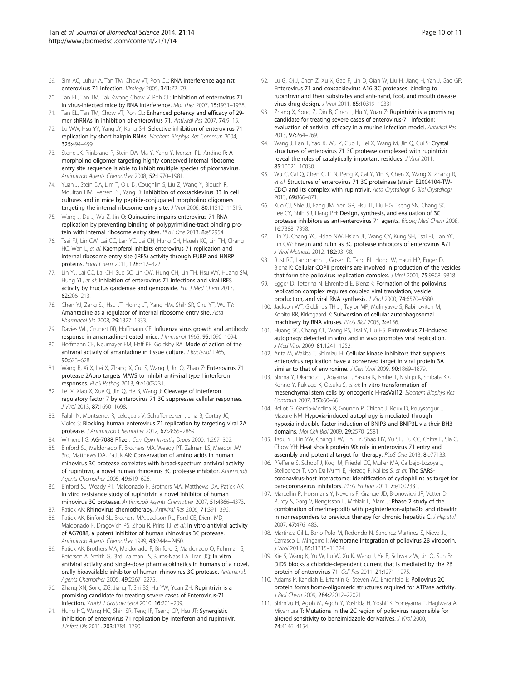- <span id="page-9-0"></span>69. Sim AC, Luhur A, Tan TM, Chow VT, Poh CL: RNA interference against enterovirus 71 infection. Virology 2005, 341:72–79.
- 70. Tan EL, Tan TM, Tak Kwong Chow V, Poh CL: Inhibition of enterovirus 71 in virus-infected mice by RNA interference. Mol Ther 2007, 15:1931–1938.
- 71. Tan EL, Tan TM, Chow VT, Poh CL: Enhanced potency and efficacy of 29mer shRNAs in inhibition of enterovirus 71. Antiviral Res 2007, 74:9–15.
- 72. Lu WW, Hsu YY, Yang JY, Kung SH: Selective inhibition of enterovirus 71 replication by short hairpin RNAs. Biochem Biophys Res Commun 2004, 325:494–499.
- 73. Stone JK, Rijnbrand R, Stein DA, Ma Y, Yang Y, Iversen PL, Andino R: A morpholino oligomer targeting highly conserved internal ribosome entry site sequence is able to inhibit multiple species of picornavirus. Antimicrob Agents Chemother 2008, 52:1970–1981.
- 74. Yuan J, Stein DA, Lim T, Qiu D, Coughlin S, Liu Z, Wang Y, Blouch R, Moulton HM, Iversen PL, Yang D: Inhibition of coxsackievirus B3 in cell cultures and in mice by peptide-conjugated morpholino oligomers targeting the internal ribosome entry site. J Virol 2006, 80:11510-11519.
- 75. Wang J, Du J, Wu Z, Jin Q: Quinacrine impairs enterovirus 71 RNA replication by preventing binding of polypyrimidine-tract binding protein with internal ribosome entry sites. PLoS One 2013, 8:e52954.
- 76. Tsai FJ, Lin CW, Lai CC, Lan YC, Lai CH, Hung CH, Hsueh KC, Lin TH, Chang HC, Wan L, et al: Kaempferol inhibits enterovirus 71 replication and internal ribosome entry site (IRES) activity through FUBP and HNRP proteins. Food Chem 2011, 128:312–322.
- 77. Lin YJ, Lai CC, Lai CH, Sue SC, Lin CW, Hung CH, Lin TH, Hsu WY, Huang SM, Hung YL, et al: Inhibition of enterovirus 71 infections and viral IRES activity by Fructus gardeniae and geniposide. Eur J Med Chem 2013, 62:206–213.
- 78. Chen YJ, Zeng SJ, Hsu JT, Horng JT, Yang HM, Shih SR, Chu YT, Wu TY: Amantadine as a regulator of internal ribosome entry site. Acta Pharmacol Sin 2008, 29:1327–1333.
- 79. Davies WL, Grunert RR, Hoffmann CE: Influenza virus growth and antibody response in amantadine-treated mice. J Immunol 1965, 95:1090–1094.
- 80. Hoffmann CE, Neumayer EM, Haff RF, Goldsby RA: Mode of action of the antiviral activity of amantadine in tissue culture. J Bacteriol 1965, 90:623–628.
- 81. Wang B, Xi X, Lei X, Zhang X, Cui S, Wang J, Jin Q, Zhao Z: Enterovirus 71 protease 2Apro targets MAVS to inhibit anti-viral type I interferon responses. PLoS Pathog 2013, 9:e1003231.
- 82. Lei X, Xiao X, Xue Q, Jin Q, He B, Wang J: Cleavage of interferon regulatory factor 7 by enterovirus 71 3C suppresses cellular responses. J Virol 2013, 87:1690–1698.
- 83. Falah N, Montserret R, Lelogeais V, Schuffenecker I, Lina B, Cortay JC, Violot S: Blocking human enterovirus 71 replication by targeting viral 2A protease. J Antimicrob Chemother 2012, 67:2865–2869.
- 84. Witherell G: AG-7088 Pfizer. Curr Opin Investig Drugs 2000, 1:297-302.
- 85. Binford SL, Maldonado F, Brothers MA, Weady PT, Zalman LS, Meador JW 3rd, Matthews DA, Patick AK: Conservation of amino acids in human rhinovirus 3C protease correlates with broad-spectrum antiviral activity of rupintrivir, a novel human rhinovirus 3C protease inhibitor. Antimicrob Agents Chemother 2005, 49:619–626.
- 86. Binford SL, Weady PT, Maldonado F, Brothers MA, Matthews DA, Patick AK: In vitro resistance study of rupintrivir, a novel inhibitor of human rhinovirus 3C protease. Antimicrob Agents Chemother 2007, 51:4366–4373.
- 87. Patick AK: Rhinovirus chemotherapy. Antiviral Res 2006, 71:391-396.
- 88. Patick AK, Binford SL, Brothers MA, Jackson RL, Ford CE, Diem MD, Maldonado F, Dragovich PS, Zhou R, Prins TJ, et al: In vitro antiviral activity of AG7088, a potent inhibitor of human rhinovirus 3C protease. Antimicrob Agents Chemother 1999, 43:2444–2450.
- 89. Patick AK, Brothers MA, Maldonado F, Binford S, Maldonado O, Fuhrman S, Petersen A, Smith GJ 3rd, Zalman LS, Burns-Naas LA, Tran JQ: In vitro antiviral activity and single-dose pharmacokinetics in humans of a novel, orally bioavailable inhibitor of human rhinovirus 3C protease. Antimicrob Agents Chemother 2005, 49:2267–2275.
- 90. Zhang XN, Song ZG, Jiang T, Shi BS, Hu YW, Yuan ZH: Rupintrivir is a promising candidate for treating severe cases of Enterovirus-71 infection. World J Gastroenterol 2010, 16:201–209.
- 91. Hung HC, Wang HC, Shih SR, Teng IF, Tseng CP, Hsu JT: Synergistic inhibition of enterovirus 71 replication by interferon and rupintrivir. J Infect Dis 2011, 203:1784–1790.
- 92. Lu G, Qi J, Chen Z, Xu X, Gao F, Lin D, Qian W, Liu H, Jiang H, Yan J, Gao GF: Enterovirus 71 and coxsackievirus A16 3C proteases: binding to rupintrivir and their substrates and anti-hand, foot, and mouth disease virus drug design. J Virol 2011, 85:10319-10331.
- 93. Zhang X, Song Z, Qin B, Chen L, Hu Y, Yuan Z: Rupintrivir is a promising candidate for treating severe cases of enterovirus-71 infection: evaluation of antiviral efficacy in a murine infection model. Antiviral Res 2013, 97:264–269.
- 94. Wang J, Fan T, Yao X, Wu Z, Guo L, Lei X, Wang M, Jin Q, Cui S: Crystal structures of enterovirus 71 3C protease complexed with rupintrivir reveal the roles of catalytically important residues. J Virol 2011, 85:10021–10030.
- 95. Wu C, Cai Q, Chen C, Li N, Peng X, Cai Y, Yin K, Chen X, Wang X, Zhang R, et al: Structures of enterovirus 71 3C proteinase (strain E2004104-TW-CDC) and its complex with rupintrivir. Acta Crystallogr D Biol Crystallogr 2013, 69:866–871.
- 96. Kuo CJ, Shie JJ, Fang JM, Yen GR, Hsu JT, Liu HG, Tseng SN, Chang SC, Lee CY, Shih SR, Liang PH: Design, synthesis, and evaluation of 3C protease inhibitors as anti-enterovirus 71 agents. Bioorg Med Chem 2008, 16:7388–7398.
- 97. Lin YJ, Chang YC, Hsiao NW, Hsieh JL, Wang CY, Kung SH, Tsai FJ, Lan YC, Lin CW: Fisetin and rutin as 3C protease inhibitors of enterovirus A71. J Virol Methods 2012, 182:93–98.
- 98. Rust RC, Landmann L, Gosert R, Tang BL, Hong W, Hauri HP, Egger D, Bienz K: Cellular COPII proteins are involved in production of the vesicles that form the poliovirus replication complex. J Virol 2001, 75:9808-9818.
- 99. Egger D, Teterina N, Ehrenfeld E, Bienz K: Formation of the poliovirus replication complex requires coupled viral translation, vesicle production, and viral RNA synthesis. J Virol 2000, 74:6570–6580.
- 100. Jackson WT, Giddings TH Jr, Taylor MP, Mulinyawe S, Rabinovitch M, Kopito RR, Kirkegaard K: Subversion of cellular autophagosomal machinery by RNA viruses. PLoS Biol 2005, 3:e156.
- 101. Huang SC, Chang CL, Wang PS, Tsai Y, Liu HS: Enterovirus 71-induced autophagy detected in vitro and in vivo promotes viral replication. J Med Virol 2009, 81:1241–1252.
- 102. Arita M, Wakita T, Shimizu H: Cellular kinase inhibitors that suppress enterovirus replication have a conserved target in viral protein 3A similar to that of enviroxime. J Gen Virol 2009, 90:1869-1879.
- 103. Shima Y, Okamoto T, Aoyama T, Yasura K, Ishibe T, Nishijo K, Shibata KR, Kohno Y, Fukiage K, Otsuka S, et al: In vitro transformation of mesenchymal stem cells by oncogenic H-rasVal12. Biochem Biophys Res Commun 2007, 353:60–66.
- 104. Bellot G, Garcia-Medina R, Gounon P, Chiche J, Roux D, Pouyssegur J, Mazure NM: Hypoxia-induced autophagy is mediated through hypoxia-inducible factor induction of BNIP3 and BNIP3L via their BH3 domains. Mol Cell Biol 2009, 29:2570–2581.
- 105. Tsou YL, Lin YW, Chang HW, Lin HY, Shao HY, Yu SL, Liu CC, Chitra E, Sia C, Chow YH: Heat shock protein 90: role in enterovirus 71 entry and assembly and potential target for therapy. PLoS One 2013, 8:e77133.
- 106. Pfefferle S, Schopf J, Kogl M, Friedel CC, Muller MA, Carbajo-Lozoya J, Stellberger T, von Dall'Armi E, Herzog P, Kallies S, et al: The SARScoronavirus-host interactome: identification of cyclophilins as target for pan-coronavirus inhibitors. PLoS Pathog 2011, 7:e1002331.
- 107. Marcellin P, Horsmans Y, Nevens F, Grange JD, Bronowicki JP, Vetter D, Purdy S, Garg V, Bengtsson L, McNair L, Alam J: Phase 2 study of the combination of merimepodib with peginterferon-alpha2b, and ribavirin in nonresponders to previous therapy for chronic hepatitis C. J Hepatol 2007, 47:476–483.
- 108. Martinez-Gil L, Bano-Polo M, Redondo N, Sanchez-Martinez S, Nieva JL, Carrasco L, Mingarro I: Membrane integration of poliovirus 2B viroporin. J Virol 2011, 85:11315–11324.
- 109. Xie S, Wang K, Yu W, Lu W, Xu K, Wang J, Ye B, Schwarz W, Jin Q, Sun B: DIDS blocks a chloride-dependent current that is mediated by the 2B protein of enterovirus 71. Cell Res 2011, 21:1271–1275.
- 110. Adams P, Kandiah E, Effantin G, Steven AC, Ehrenfeld E: Poliovirus 2C protein forms homo-oligomeric structures required for ATPase activity. J Biol Chem 2009, 284:22012-22021.
- 111. Shimizu H, Agoh M, Agoh Y, Yoshida H, Yoshii K, Yoneyama T, Hagiwara A, Miyamura T: Mutations in the 2C region of poliovirus responsible for altered sensitivity to benzimidazole derivatives. J Virol 2000, 74:4146–4154.